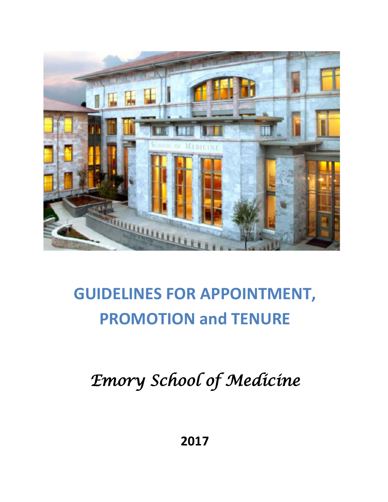

# **GUIDELINES FOR APPOINTMENT, PROMOTION and TENURE**

*Emory School of Medicine* 

**2017**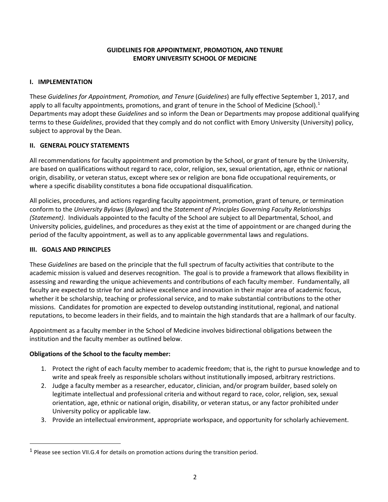# **GUIDELINES FOR APPOINTMENT, PROMOTION, AND TENURE EMORY UNIVERSITY SCHOOL OF MEDICINE**

# **I. IMPLEMENTATION**

These *Guidelines for Appointment, Promotion, and Tenure* (*Guidelines*) are fully effective September 1, 2017, and apply to all faculty appointments, promotions, and grant of tenure in the School of Medicine (School).<sup>[1](#page-1-0)</sup> Departments may adopt these *Guidelines* and so inform the Dean or Departments may propose additional qualifying terms to these *Guidelines*, provided that they comply and do not conflict with Emory University (University) policy, subject to approval by the Dean.

# **II. GENERAL POLICY STATEMENTS**

All recommendations for faculty appointment and promotion by the School, or grant of tenure by the University, are based on qualifications without regard to race, color, religion, sex, sexual orientation, age, ethnic or national origin, disability, or veteran status, except where sex or religion are bona fide occupational requirements, or where a specific disability constitutes a bona fide occupational disqualification.

All policies, procedures, and actions regarding faculty appointment, promotion, grant of tenure, or termination conform to the *University Bylaws* (*Bylaws*) and the *Statement of Principles Governing Faculty Relationships (Statement)*. Individuals appointed to the faculty of the School are subject to all Departmental, School, and University policies, guidelines, and procedures as they exist at the time of appointment or are changed during the period of the faculty appointment, as well as to any applicable governmental laws and regulations.

# **III. GOALS AND PRINCIPLES**

These *Guidelines* are based on the principle that the full spectrum of faculty activities that contribute to the academic mission is valued and deserves recognition. The goal is to provide a framework that allows flexibility in assessing and rewarding the unique achievements and contributions of each faculty member. Fundamentally, all faculty are expected to strive for and achieve excellence and innovation in their major area of academic focus, whether it be scholarship, teaching or professional service, and to make substantial contributions to the other missions. Candidates for promotion are expected to develop outstanding institutional, regional, and national reputations, to become leaders in their fields, and to maintain the high standards that are a hallmark of our faculty.

Appointment as a faculty member in the School of Medicine involves bidirectional obligations between the institution and the faculty member as outlined below.

# **Obligations of the School to the faculty member:**

- 1. Protect the right of each faculty member to academic freedom; that is, the right to pursue knowledge and to write and speak freely as responsible scholars without institutionally imposed, arbitrary restrictions.
- 2. Judge a faculty member as a researcher, educator, clinician, and/or program builder, based solely on legitimate intellectual and professional criteria and without regard to race, color, religion, sex, sexual orientation, age, ethnic or national origin, disability, or veteran status, or any factor prohibited under University policy or applicable law.
- 3. Provide an intellectual environment, appropriate workspace, and opportunity for scholarly achievement.

<span id="page-1-0"></span><sup>&</sup>lt;sup>1</sup> Please see section VII.G.4 for details on promotion actions during the transition period.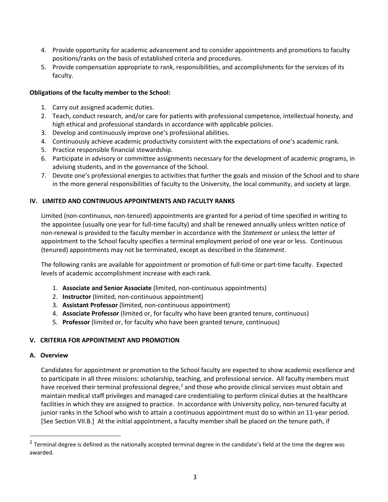- 4. Provide opportunity for academic advancement and to consider appointments and promotions to faculty positions/ranks on the basis of established criteria and procedures.
- 5. Provide compensation appropriate to rank, responsibilities, and accomplishments for the services of its faculty.

# **Obligations of the faculty member to the School:**

- 1. Carry out assigned academic duties.
- 2. Teach, conduct research, and/or care for patients with professional competence, intellectual honesty, and high ethical and professional standards in accordance with applicable policies.
- 3. Develop and continuously improve one's professional abilities.
- 4. Continuously achieve academic productivity consistent with the expectations of one's academic rank.
- 5. Practice responsible financial stewardship.
- 6. Participate in advisory or committee assignments necessary for the development of academic programs, in advising students, and in the governance of the School.
- 7. Devote one's professional energies to activities that further the goals and mission of the School and to share in the more general responsibilities of faculty to the University, the local community, and society at large.

## **IV. LIMITED AND CONTINUOUS APPOINTMENTS AND FACULTY RANKS**

Limited (non-continuous, non-tenured) appointments are granted for a period of time specified in writing to the appointee (usually one year for full-time faculty) and shall be renewed annually unless written notice of non-renewal is provided to the faculty member in accordance with the *Statement* or unless the letter of appointment to the School faculty specifies a terminal employment period of one year or less. Continuous (tenured) appointments may not be terminated, except as described in the *Statement*.

The following ranks are available for appointment or promotion of full-time or part-time faculty. Expected levels of academic accomplishment increase with each rank.

- 1. **Associate and Senior Associate** (limited, non-continuous appointments)
- 2. **Instructor** (limited, non-continuous appointment)
- 3. **Assistant Professor** (limited, non-continuous appointment)
- 4. **Associate Professor** (limited or, for faculty who have been granted tenure, continuous)
- 5. **Professor** (limited or, for faculty who have been granted tenure, continuous)

## **V. CRITERIA FOR APPOINTMENT AND PROMOTION**

## **A. Overview**

Candidates for appointment or promotion to the School faculty are expected to show academic excellence and to participate in all three missions: scholarship, teaching, and professional service. All faculty members must have received their terminal professional degree,<sup>[2](#page-2-0)</sup> and those who provide clinical services must obtain and maintain medical staff privileges and managed care credentialing to perform clinical duties at the healthcare facilities in which they are assigned to practice. In accordance with University policy, non-tenured faculty at junior ranks in the School who wish to attain a continuous appointment must do so within an 11-year period. [See Section VII.B.] At the initial appointment, a faculty member shall be placed on the tenure path, if

<span id="page-2-0"></span><sup>&</sup>lt;sup>2</sup> Terminal degree is defined as the nationally accepted terminal degree in the candidate's field at the time the degree was awarded.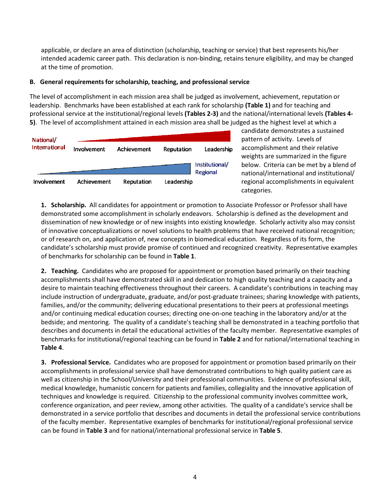applicable, or declare an area of distinction (scholarship, teaching or service) that best represents his/her intended academic career path. This declaration is non-binding, retains tenure eligibility, and may be changed at the time of promotion.

# **B. General requirements for scholarship, teaching, and professional service**

The level of accomplishment in each mission area shall be judged as involvement, achievement, reputation or leadership. Benchmarks have been established at each rank for scholarship **(Table 1)** and for teaching and professional service at the institutional/regional levels **(Tables 2-3)** and the national/international levels **(Tables 4- 5)**. The level of accomplishment attained in each mission area shall be judged as the highest level at which a



candidate demonstrates a sustained pattern of activity. Levels of accomplishment and their relative weights are summarized in the figure below. Criteria can be met by a blend of national/international and institutional/ regional accomplishments in equivalent categories.

**1. Scholarship.** All candidates for appointment or promotion to Associate Professor or Professor shall have demonstrated some accomplishment in scholarly endeavors. Scholarship is defined as the development and dissemination of new knowledge or of new insights into existing knowledge. Scholarly activity also may consist of innovative conceptualizations or novel solutions to health problems that have received national recognition; or of research on, and application of, new concepts in biomedical education. Regardless of its form, the candidate's scholarship must provide promise of continued and recognized creativity. Representative examples of benchmarks for scholarship can be found in **Table 1**.

**2. Teaching.** Candidates who are proposed for appointment or promotion based primarily on their teaching accomplishments shall have demonstrated skill in and dedication to high quality teaching and a capacity and a desire to maintain teaching effectiveness throughout their careers. A candidate's contributions in teaching may include instruction of undergraduate, graduate, and/or post-graduate trainees; sharing knowledge with patients, families, and/or the community; delivering educational presentations to their peers at professional meetings and/or continuing medical education courses; directing one-on-one teaching in the laboratory and/or at the bedside; and mentoring. The quality of a candidate's teaching shall be demonstrated in a teaching portfolio that describes and documents in detail the educational activities of the faculty member. Representative examples of benchmarks for institutional/regional teaching can be found in **Table 2** and for national/international teaching in **Table 4**.

**3. Professional Service.** Candidates who are proposed for appointment or promotion based primarily on their accomplishments in professional service shall have demonstrated contributions to high quality patient care as well as citizenship in the School/University and their professional communities. Evidence of professional skill, medical knowledge, humanistic concern for patients and families, collegiality and the innovative application of techniques and knowledge is required. Citizenship to the professional community involves committee work, conference organization, and peer review, among other activities. The quality of a candidate's service shall be demonstrated in a service portfolio that describes and documents in detail the professional service contributions of the faculty member. Representative examples of benchmarks for institutional/regional professional service can be found in **Table 3** and for national/international professional service in **Table 5**.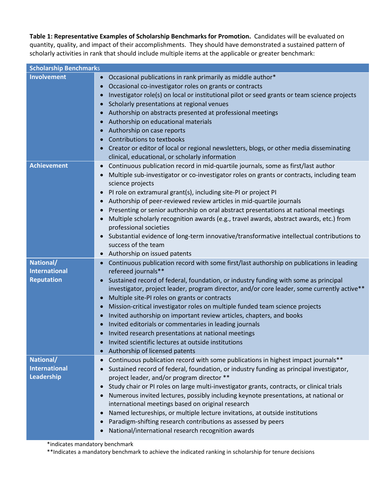**Table 1: Representative Examples of Scholarship Benchmarks for Promotion.** Candidates will be evaluated on quantity, quality, and impact of their accomplishments. They should have demonstrated a sustained pattern of scholarly activities in rank that should include multiple items at the applicable or greater benchmark:

| <b>Scholarship Benchmarks</b>                          |                                                                                                                                                                                                                                                                                                                                                                                                                                                                                                                                                                                                                                                                                                                                                                                                                                  |
|--------------------------------------------------------|----------------------------------------------------------------------------------------------------------------------------------------------------------------------------------------------------------------------------------------------------------------------------------------------------------------------------------------------------------------------------------------------------------------------------------------------------------------------------------------------------------------------------------------------------------------------------------------------------------------------------------------------------------------------------------------------------------------------------------------------------------------------------------------------------------------------------------|
| <b>Involvement</b>                                     | Occasional publications in rank primarily as middle author*<br>$\bullet$<br>Occasional co-investigator roles on grants or contracts<br>$\bullet$<br>Investigator role(s) on local or institutional pilot or seed grants or team science projects<br>$\bullet$<br>Scholarly presentations at regional venues<br>$\bullet$<br>Authorship on abstracts presented at professional meetings<br>Authorship on educational materials<br>$\bullet$<br>Authorship on case reports<br>$\bullet$<br>Contributions to textbooks<br>Creator or editor of local or regional newsletters, blogs, or other media disseminating<br>$\bullet$<br>clinical, educational, or scholarly information                                                                                                                                                   |
| <b>Achievement</b>                                     | Continuous publication record in mid-quartile journals, some as first/last author<br>$\bullet$<br>Multiple sub-investigator or co-investigator roles on grants or contracts, including team<br>$\bullet$<br>science projects<br>PI role on extramural grant(s), including site-PI or project PI<br>$\bullet$<br>Authorship of peer-reviewed review articles in mid-quartile journals<br>$\bullet$<br>Presenting or senior authorship on oral abstract presentations at national meetings<br>$\bullet$<br>Multiple scholarly recognition awards (e.g., travel awards, abstract awards, etc.) from<br>professional societies<br>Substantial evidence of long-term innovative/transformative intellectual contributions to<br>$\bullet$<br>success of the team<br>Authorship on issued patents<br>$\bullet$                         |
| National/<br><b>International</b><br><b>Reputation</b> | Continuous publication record with some first/last authorship on publications in leading<br>$\bullet$<br>refereed journals**<br>Sustained record of federal, foundation, or industry funding with some as principal<br>$\bullet$<br>investigator, project leader, program director, and/or core leader, some currently active**<br>Multiple site-PI roles on grants or contracts<br>$\bullet$<br>Mission-critical investigator roles on multiple funded team science projects<br>$\bullet$<br>Invited authorship on important review articles, chapters, and books<br>$\bullet$<br>Invited editorials or commentaries in leading journals<br>$\bullet$<br>Invited research presentations at national meetings<br>Invited scientific lectures at outside institutions<br>$\bullet$<br>Authorship of licensed patents<br>$\bullet$ |
| National/<br><b>International</b><br>Leadership        | Continuous publication record with some publications in highest impact journals**<br>$\bullet$<br>Sustained record of federal, foundation, or industry funding as principal investigator,<br>$\bullet$<br>project leader, and/or program director **<br>Study chair or PI roles on large multi-investigator grants, contracts, or clinical trials<br>$\bullet$<br>Numerous invited lectures, possibly including keynote presentations, at national or<br>$\bullet$<br>international meetings based on original research<br>Named lectureships, or multiple lecture invitations, at outside institutions<br>$\bullet$<br>Paradigm-shifting research contributions as assessed by peers<br>National/international research recognition awards<br>$\bullet$                                                                         |

\*indicates mandatory benchmark

\*\*Indicates a mandatory benchmark to achieve the indicated ranking in scholarship for tenure decisions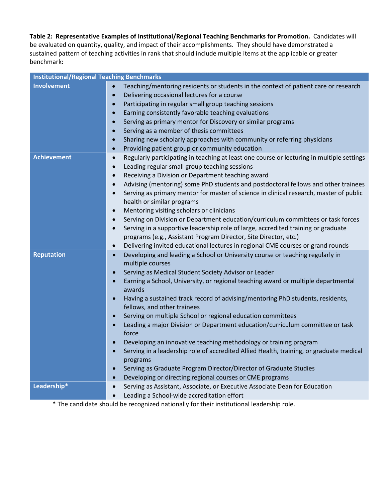# **Table 2: Representative Examples of Institutional/Regional Teaching Benchmarks for Promotion.** Candidates will be evaluated on quantity, quality, and impact of their accomplishments. They should have demonstrated a sustained pattern of teaching activities in rank that should include multiple items at the applicable or greater benchmark:

| <b>Institutional/Regional Teaching Benchmarks</b> |                                                                                                                                                                                                                                                                                                                                                                                                                                                                                                                                                                                                                                                                                                                                                                                                                                                                                                                                                                                   |
|---------------------------------------------------|-----------------------------------------------------------------------------------------------------------------------------------------------------------------------------------------------------------------------------------------------------------------------------------------------------------------------------------------------------------------------------------------------------------------------------------------------------------------------------------------------------------------------------------------------------------------------------------------------------------------------------------------------------------------------------------------------------------------------------------------------------------------------------------------------------------------------------------------------------------------------------------------------------------------------------------------------------------------------------------|
| <b>Involvement</b>                                | Teaching/mentoring residents or students in the context of patient care or research<br>Delivering occasional lectures for a course<br>$\bullet$<br>Participating in regular small group teaching sessions<br>$\bullet$<br>Earning consistently favorable teaching evaluations<br>$\bullet$<br>Serving as primary mentor for Discovery or similar programs<br>$\bullet$<br>Serving as a member of thesis committees<br>$\bullet$<br>Sharing new scholarly approaches with community or referring physicians<br>$\bullet$<br>Providing patient group or community education<br>$\bullet$                                                                                                                                                                                                                                                                                                                                                                                            |
| <b>Achievement</b>                                | Regularly participating in teaching at least one course or lecturing in multiple settings<br>$\bullet$<br>Leading regular small group teaching sessions<br>$\bullet$<br>Receiving a Division or Department teaching award<br>$\bullet$<br>Advising (mentoring) some PhD students and postdoctoral fellows and other trainees<br>$\bullet$<br>Serving as primary mentor for master of science in clinical research, master of public<br>$\bullet$<br>health or similar programs<br>Mentoring visiting scholars or clinicians<br>$\bullet$<br>Serving on Division or Department education/curriculum committees or task forces<br>$\bullet$<br>Serving in a supportive leadership role of large, accredited training or graduate<br>$\bullet$<br>programs (e.g., Assistant Program Director, Site Director, etc.)<br>Delivering invited educational lectures in regional CME courses or grand rounds<br>$\bullet$                                                                   |
| <b>Reputation</b>                                 | Developing and leading a School or University course or teaching regularly in<br>$\bullet$<br>multiple courses<br>Serving as Medical Student Society Advisor or Leader<br>$\bullet$<br>Earning a School, University, or regional teaching award or multiple departmental<br>$\bullet$<br>awards<br>Having a sustained track record of advising/mentoring PhD students, residents,<br>$\bullet$<br>fellows, and other trainees<br>Serving on multiple School or regional education committees<br>$\bullet$<br>Leading a major Division or Department education/curriculum committee or task<br>$\bullet$<br>force<br>Developing an innovative teaching methodology or training program<br>$\bullet$<br>Serving in a leadership role of accredited Allied Health, training, or graduate medical<br>$\bullet$<br>programs<br>Serving as Graduate Program Director/Director of Graduate Studies<br>$\bullet$<br>Developing or directing regional courses or CME programs<br>$\bullet$ |
| Leadership*                                       | Serving as Assistant, Associate, or Executive Associate Dean for Education<br>$\bullet$<br>Leading a School-wide accreditation effort<br>$\bullet$                                                                                                                                                                                                                                                                                                                                                                                                                                                                                                                                                                                                                                                                                                                                                                                                                                |

\* The candidate should be recognized nationally for their institutional leadership role.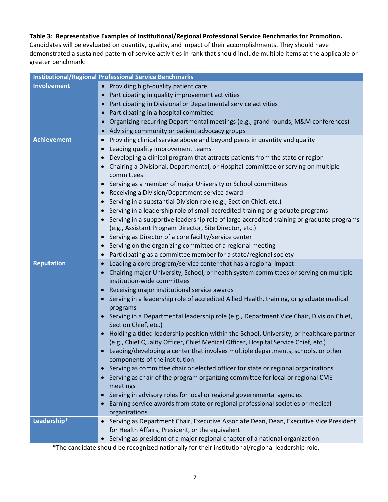# **Table 3: Representative Examples of Institutional/Regional Professional Service Benchmarks for Promotion.**

Candidates will be evaluated on quantity, quality, and impact of their accomplishments. They should have demonstrated a sustained pattern of service activities in rank that should include multiple items at the applicable or greater benchmark:

|                    | <b>Institutional/Regional Professional Service Benchmarks</b>                                          |  |  |  |  |
|--------------------|--------------------------------------------------------------------------------------------------------|--|--|--|--|
| <b>Involvement</b> | • Providing high-quality patient care                                                                  |  |  |  |  |
|                    | Participating in quality improvement activities                                                        |  |  |  |  |
|                    | Participating in Divisional or Departmental service activities                                         |  |  |  |  |
|                    | Participating in a hospital committee<br>$\bullet$                                                     |  |  |  |  |
|                    | Organizing recurring Departmental meetings (e.g., grand rounds, M&M conferences)<br>$\bullet$          |  |  |  |  |
|                    | Advising community or patient advocacy groups                                                          |  |  |  |  |
| <b>Achievement</b> | Providing clinical service above and beyond peers in quantity and quality<br>$\bullet$                 |  |  |  |  |
|                    | Leading quality improvement teams                                                                      |  |  |  |  |
|                    | Developing a clinical program that attracts patients from the state or region                          |  |  |  |  |
|                    | Chairing a Divisional, Departmental, or Hospital committee or serving on multiple                      |  |  |  |  |
|                    | committees                                                                                             |  |  |  |  |
|                    | Serving as a member of major University or School committees                                           |  |  |  |  |
|                    | Receiving a Division/Department service award                                                          |  |  |  |  |
|                    | Serving in a substantial Division role (e.g., Section Chief, etc.)                                     |  |  |  |  |
|                    | Serving in a leadership role of small accredited training or graduate programs                         |  |  |  |  |
|                    | Serving in a supportive leadership role of large accredited training or graduate programs              |  |  |  |  |
|                    | (e.g., Assistant Program Director, Site Director, etc.)                                                |  |  |  |  |
|                    | Serving as Director of a core facility/service center<br>$\bullet$                                     |  |  |  |  |
|                    | Serving on the organizing committee of a regional meeting                                              |  |  |  |  |
|                    | Participating as a committee member for a state/regional society<br>$\bullet$                          |  |  |  |  |
| <b>Reputation</b>  | Leading a core program/service center that has a regional impact                                       |  |  |  |  |
|                    | Chairing major University, School, or health system committees or serving on multiple                  |  |  |  |  |
|                    | institution-wide committees                                                                            |  |  |  |  |
|                    | Receiving major institutional service awards<br>$\bullet$                                              |  |  |  |  |
|                    | Serving in a leadership role of accredited Allied Health, training, or graduate medical<br>programs    |  |  |  |  |
|                    | Serving in a Departmental leadership role (e.g., Department Vice Chair, Division Chief,                |  |  |  |  |
|                    | Section Chief, etc.)                                                                                   |  |  |  |  |
|                    | Holding a titled leadership position within the School, University, or healthcare partner<br>$\bullet$ |  |  |  |  |
|                    | (e.g., Chief Quality Officer, Chief Medical Officer, Hospital Service Chief, etc.)                     |  |  |  |  |
|                    | Leading/developing a center that involves multiple departments, schools, or other<br>$\bullet$         |  |  |  |  |
|                    | components of the institution                                                                          |  |  |  |  |
|                    | Serving as committee chair or elected officer for state or regional organizations                      |  |  |  |  |
|                    | Serving as chair of the program organizing committee for local or regional CME<br>meetings             |  |  |  |  |
|                    | Serving in advisory roles for local or regional governmental agencies<br>$\bullet$                     |  |  |  |  |
|                    | Earning service awards from state or regional professional societies or medical                        |  |  |  |  |
|                    | organizations                                                                                          |  |  |  |  |
| Leadership*        | Serving as Department Chair, Executive Associate Dean, Dean, Executive Vice President<br>$\bullet$     |  |  |  |  |
|                    | for Health Affairs, President, or the equivalent                                                       |  |  |  |  |
|                    | Serving as president of a major regional chapter of a national organization<br>$\bullet$               |  |  |  |  |

\*The candidate should be recognized nationally for their institutional/regional leadership role.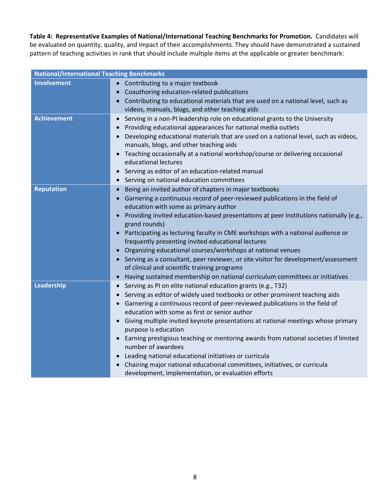**Table 4: Representative Examples of National/International Teaching Benchmarks for Promotion.** Candidates will be evaluated on quantity, quality, and impact of their accomplishments. They should have demonstrated a sustained pattern of teaching activities in rank that should include multiple items at the applicable or greater benchmark:

| <b>National/International Teaching Benchmarks</b> |                                                                                                                                                                                                                                                                                                                                                                                                                                                                                                                                                                                                                                                                                                                                                      |
|---------------------------------------------------|------------------------------------------------------------------------------------------------------------------------------------------------------------------------------------------------------------------------------------------------------------------------------------------------------------------------------------------------------------------------------------------------------------------------------------------------------------------------------------------------------------------------------------------------------------------------------------------------------------------------------------------------------------------------------------------------------------------------------------------------------|
| <b>Involvement</b>                                | • Contributing to a major textbook<br>Coauthoring education-related publications<br>$\bullet$<br>Contributing to educational materials that are used on a national level, such as<br>videos, manuals, blogs, and other teaching aids                                                                                                                                                                                                                                                                                                                                                                                                                                                                                                                 |
| <b>Achievement</b>                                | Serving in a non-PI leadership role on educational grants to the University<br>$\bullet$<br>Providing educational appearances for national media outlets<br>Developing educational materials that are used on a national level, such as videos,<br>$\bullet$<br>manuals, blogs, and other teaching aids<br>Teaching occasionally at a national workshop/course or delivering occasional<br>$\bullet$<br>educational lectures<br>Serving as editor of an education-related manual<br>$\bullet$<br>Serving on national education committees<br>$\bullet$                                                                                                                                                                                               |
| <b>Reputation</b>                                 | Being an invited author of chapters in major textbooks<br>Garnering a continuous record of peer-reviewed publications in the field of<br>education with some as primary author<br>Providing invited education-based presentations at peer institutions nationally (e.g.,<br>$\bullet$<br>grand rounds)<br>Participating as lecturing faculty in CME workshops with a national audience or<br>frequently presenting invited educational lectures<br>Organizing educational courses/workshops at national venues<br>Serving as a consultant, peer reviewer, or site visitor for development/assessment<br>of clinical and scientific training programs<br>Having sustained membership on national curriculum committees or initiatives<br>$\bullet$    |
| Leadership                                        | Serving as PI on elite national education grants (e.g., T32)<br>$\bullet$<br>Serving as editor of widely used textbooks or other prominent teaching aids<br>$\bullet$<br>Garnering a continuous record of peer-reviewed publications in the field of<br>education with some as first or senior author<br>Giving multiple invited keynote presentations at national meetings whose primary<br>$\bullet$<br>purpose is education<br>Earning prestigious teaching or mentoring awards from national societies if limited<br>$\bullet$<br>number of awardees<br>Leading national educational initiatives or curricula<br>Chairing major national educational committees, initiatives, or curricula<br>development, implementation, or evaluation efforts |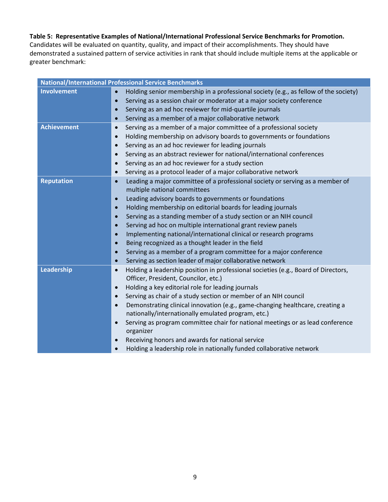# **Table 5: Representative Examples of National/International Professional Service Benchmarks for Promotion.**

Candidates will be evaluated on quantity, quality, and impact of their accomplishments. They should have demonstrated a sustained pattern of service activities in rank that should include multiple items at the applicable or greater benchmark:

|                    | <b>National/International Professional Service Benchmarks</b>                                     |  |  |  |  |  |
|--------------------|---------------------------------------------------------------------------------------------------|--|--|--|--|--|
| <b>Involvement</b> | Holding senior membership in a professional society (e.g., as fellow of the society)<br>$\bullet$ |  |  |  |  |  |
|                    | Serving as a session chair or moderator at a major society conference<br>$\bullet$                |  |  |  |  |  |
|                    | Serving as an ad hoc reviewer for mid-quartile journals<br>$\bullet$                              |  |  |  |  |  |
|                    | Serving as a member of a major collaborative network<br>$\bullet$                                 |  |  |  |  |  |
| <b>Achievement</b> | Serving as a member of a major committee of a professional society<br>$\bullet$                   |  |  |  |  |  |
|                    | Holding membership on advisory boards to governments or foundations<br>$\bullet$                  |  |  |  |  |  |
|                    | Serving as an ad hoc reviewer for leading journals<br>$\bullet$                                   |  |  |  |  |  |
|                    | Serving as an abstract reviewer for national/international conferences<br>$\bullet$               |  |  |  |  |  |
|                    | Serving as an ad hoc reviewer for a study section<br>$\bullet$                                    |  |  |  |  |  |
|                    | Serving as a protocol leader of a major collaborative network<br>$\bullet$                        |  |  |  |  |  |
| <b>Reputation</b>  | Leading a major committee of a professional society or serving as a member of<br>$\bullet$        |  |  |  |  |  |
|                    | multiple national committees                                                                      |  |  |  |  |  |
|                    | Leading advisory boards to governments or foundations<br>$\bullet$                                |  |  |  |  |  |
|                    | Holding membership on editorial boards for leading journals<br>$\bullet$                          |  |  |  |  |  |
|                    | Serving as a standing member of a study section or an NIH council<br>$\bullet$                    |  |  |  |  |  |
|                    | Serving ad hoc on multiple international grant review panels<br>$\bullet$                         |  |  |  |  |  |
|                    | Implementing national/international clinical or research programs<br>$\bullet$                    |  |  |  |  |  |
|                    | Being recognized as a thought leader in the field<br>$\bullet$                                    |  |  |  |  |  |
|                    | Serving as a member of a program committee for a major conference<br>$\bullet$                    |  |  |  |  |  |
|                    | Serving as section leader of major collaborative network<br>$\bullet$                             |  |  |  |  |  |
| Leadership         | Holding a leadership position in professional societies (e.g., Board of Directors,<br>$\bullet$   |  |  |  |  |  |
|                    | Officer, President, Councilor, etc.)                                                              |  |  |  |  |  |
|                    | Holding a key editorial role for leading journals<br>$\bullet$                                    |  |  |  |  |  |
|                    | Serving as chair of a study section or member of an NIH council<br>$\bullet$                      |  |  |  |  |  |
|                    | Demonstrating clinical innovation (e.g., game-changing healthcare, creating a<br>$\bullet$        |  |  |  |  |  |
|                    | nationally/internationally emulated program, etc.)                                                |  |  |  |  |  |
|                    | Serving as program committee chair for national meetings or as lead conference<br>organizer       |  |  |  |  |  |
|                    | Receiving honors and awards for national service<br>$\bullet$                                     |  |  |  |  |  |
|                    | Holding a leadership role in nationally funded collaborative network<br>$\bullet$                 |  |  |  |  |  |
|                    |                                                                                                   |  |  |  |  |  |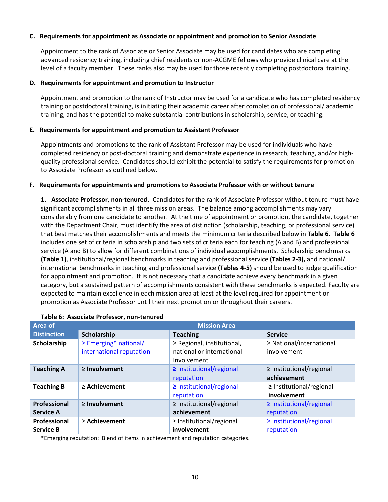## **C. Requirements for appointment as Associate or appointment and promotion to Senior Associate**

Appointment to the rank of Associate or Senior Associate may be used for candidates who are completing advanced residency training, including chief residents or non-ACGME fellows who provide clinical care at the level of a faculty member. These ranks also may be used for those recently completing postdoctoral training.

#### **D. Requirements for appointment and promotion to Instructor**

Appointment and promotion to the rank of Instructor may be used for a candidate who has completed residency training or postdoctoral training, is initiating their academic career after completion of professional/ academic training, and has the potential to make substantial contributions in scholarship, service, or teaching.

#### **E. Requirements for appointment and promotion to Assistant Professor**

Appointments and promotions to the rank of Assistant Professor may be used for individuals who have completed residency or post-doctoral training and demonstrate experience in research, teaching, and/or highquality professional service. Candidates should exhibit the potential to satisfy the requirements for promotion to Associate Professor as outlined below.

#### **F. Requirements for appointments and promotions to Associate Professor with or without tenure**

**1. Associate Professor, non-tenured.** Candidates for the rank of Associate Professor without tenure must have significant accomplishments in all three mission areas. The balance among accomplishments may vary considerably from one candidate to another. At the time of appointment or promotion, the candidate, together with the Department Chair, must identify the area of distinction (scholarship, teaching, or professional service) that best matches their accomplishments and meets the minimum criteria described below in **Table 6**. **Table 6** includes one set of criteria in scholarship and two sets of criteria each for teaching (A and B) and professional service (A and B) to allow for different combinations of individual accomplishments. Scholarship benchmarks **(Table 1)**, institutional/regional benchmarks in teaching and professional service **(Tables 2-3),** and national/ international benchmarks in teaching and professional service **(Tables 4-5)** should be used to judge qualification for appointment and promotion. It is not necessary that a candidate achieve every benchmark in a given category, but a sustained pattern of accomplishments consistent with these benchmarks is expected. Faculty are expected to maintain excellence in each mission area at least at the level required for appointment or promotion as Associate Professor until their next promotion or throughout their careers.

| Area of                          | <b>Mission Area</b>                                    |                                                                        |                                              |  |
|----------------------------------|--------------------------------------------------------|------------------------------------------------------------------------|----------------------------------------------|--|
| <b>Distinction</b>               | Scholarship                                            | <b>Teaching</b>                                                        | <b>Service</b>                               |  |
| Scholarship                      | $\geq$ Emerging* national/<br>international reputation | ≥ Regional, institutional,<br>national or international<br>Involvement | $\geq$ National/international<br>involvement |  |
| <b>Teaching A</b>                | $\geq$ Involvement                                     | ≥ Institutional/regional<br>reputation                                 | $\geq$ Institutional/regional<br>achievement |  |
| <b>Teaching B</b>                | $\geq$ Achievement                                     | ≥ Institutional/regional<br>reputation                                 | ≥ Institutional/regional<br>involvement      |  |
| Professional<br><b>Service A</b> | $\geq$ Involvement                                     | $\geq$ Institutional/regional<br>achievement                           | $\geq$ Institutional/regional<br>reputation  |  |
| Professional<br><b>Service B</b> | $\geq$ Achievement                                     | $\geq$ Institutional/regional<br>involvement                           | $\geq$ Institutional/regional<br>reputation  |  |

#### **Table 6: Associate Professor, non-tenured**

\*Emerging reputation: Blend of items in achievement and reputation categories.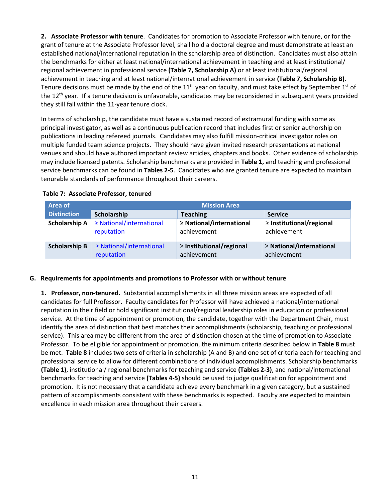**2. Associate Professor with tenure**. Candidates for promotion to Associate Professor with tenure, or for the grant of tenure at the Associate Professor level, shall hold a doctoral degree and must demonstrate at least an established national/international reputation in the scholarship area of distinction. Candidates must also attain the benchmarks for either at least national/international achievement in teaching and at least institutional/ regional achievement in professional service **(Table 7, Scholarship A)** or at least institutional/regional achievement in teaching and at least national/international achievement in service **(Table 7, Scholarship B)**. Tenure decisions must be made by the end of the 11<sup>th</sup> year on faculty, and must take effect by September 1<sup>st</sup> of the  $12<sup>th</sup>$  year. If a tenure decision is unfavorable, candidates may be reconsidered in subsequent years provided they still fall within the 11-year tenure clock.

In terms of scholarship, the candidate must have a sustained record of extramural funding with some as principal investigator, as well as a continuous publication record that includes first or senior authorship on publications in leading refereed journals. Candidates may also fulfill mission-critical investigator roles on multiple funded team science projects. They should have given invited research presentations at national venues and should have authored important review articles, chapters and books. Other evidence of scholarship may include licensed patents. Scholarship benchmarks are provided in **Table 1,** and teaching and professional service benchmarks can be found in **Tables 2-5**. Candidates who are granted tenure are expected to maintain tenurable standards of performance throughout their careers.

| <b>Area of</b>       | <b>Mission Area</b>                         |                                              |                                              |
|----------------------|---------------------------------------------|----------------------------------------------|----------------------------------------------|
| <b>Distinction</b>   | Scholarship                                 | <b>Teaching</b>                              | <b>Service</b>                               |
| <b>Scholarship A</b> | $\geq$ National/international<br>reputation | $\geq$ National/international<br>achievement | $\geq$ Institutional/regional<br>achievement |
| <b>Scholarship B</b> | $\geq$ National/international               | $\geq$ Institutional/regional                | $\geq$ National/international                |
|                      | reputation                                  | achievement                                  | achievement                                  |

# **Table 7: Associate Professor, tenured**

## **G. Requirements for appointments and promotions to Professor with or without tenure**

**1. Professor, non-tenured.** Substantial accomplishments in all three mission areas are expected of all candidates for full Professor. Faculty candidates for Professor will have achieved a national/international reputation in their field or hold significant institutional/regional leadership roles in education or professional service. At the time of appointment or promotion, the candidate, together with the Department Chair, must identify the area of distinction that best matches their accomplishments (scholarship, teaching or professional service). This area may be different from the area of distinction chosen at the time of promotion to Associate Professor. To be eligible for appointment or promotion, the minimum criteria described below in **Table 8** must be met. **Table 8** includes two sets of criteria in scholarship (A and B) and one set of criteria each for teaching and professional service to allow for different combinations of individual accomplishments. Scholarship benchmarks **(Table 1)**, institutional/ regional benchmarks for teaching and service **(Tables 2-3)**, and national/international benchmarks for teaching and service **(Tables 4-5)** should be used to judge qualification for appointment and promotion. It is not necessary that a candidate achieve every benchmark in a given category, but a sustained pattern of accomplishments consistent with these benchmarks is expected. Faculty are expected to maintain excellence in each mission area throughout their careers.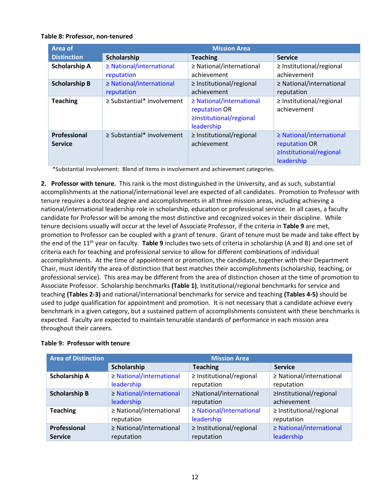# **Table 8: Professor, non-tenured**

| Area of                        | <b>Mission Area</b>                         |                                                                                         |                                                                                         |  |
|--------------------------------|---------------------------------------------|-----------------------------------------------------------------------------------------|-----------------------------------------------------------------------------------------|--|
| <b>Distinction</b>             | Scholarship                                 | <b>Teaching</b>                                                                         | <b>Service</b>                                                                          |  |
| <b>Scholarship A</b>           | $\geq$ National/international<br>reputation | ≥ National/international<br>achievement                                                 | $\geq$ Institutional/regional<br>achievement                                            |  |
| <b>Scholarship B</b>           | $\geq$ National/international<br>reputation | $\geq$ Institutional/regional<br>achievement                                            | $\geq$ National/international<br>reputation                                             |  |
| <b>Teaching</b>                | $\geq$ Substantial* involvement             | $\geq$ National/international<br>reputation OR<br>≥Institutional/regional<br>leadership | $\geq$ Institutional/regional<br>achievement                                            |  |
| Professional<br><b>Service</b> | $\geq$ Substantial* involvement             | $\geq$ Institutional/regional<br>achievement                                            | $\geq$ National/international<br>reputation OR<br>≥Institutional/regional<br>leadership |  |

\*Substantial involvement: Blend of items in involvement and achievement categories.

**2. Professor with tenure.** This rank is the most distinguished in the University, and as such, substantial accomplishments at the national/international level are expected of all candidates. Promotion to Professor with tenure requires a doctoral degree and accomplishments in all three mission areas, including achieving a national/international leadership role in scholarship, education or professional service. In all cases, a faculty candidate for Professor will be among the most distinctive and recognized voices in their discipline. While tenure decisions usually will occur at the level of Associate Professor, if the criteria in **Table 9** are met, promotion to Professor can be coupled with a grant of tenure. Grant of tenure must be made and take effect by the end of the 11th year on faculty. **Table 9** includes two sets of criteria in scholarship (A and B) and one set of criteria each for teaching and professional service to allow for different combinations of individual accomplishments. At the time of appointment or promotion, the candidate, together with their Department Chair, must identify the area of distinction that best matches their accomplishments (scholarship, teaching, or professional service). This area may be different from the area of distinction chosen at the time of promotion to Associate Professor. Scholarship benchmarks **(Table 1)**, Institutional/regional benchmarks for service and teaching **(Tables 2-3)** and national/international benchmarks for service and teaching **(Tables 4-5)** should be used to judge qualification for appointment and promotion. It is not necessary that a candidate achieve every benchmark in a given category, but a sustained pattern of accomplishments consistent with these benchmarks is expected. Faculty are expected to maintain tenurable standards of performance in each mission area throughout their careers.

## **Table 9: Professor with tenure**

| <b>Area of Distinction</b> | <b>Mission Area</b>      |                               |                               |  |
|----------------------------|--------------------------|-------------------------------|-------------------------------|--|
|                            | Scholarship              | <b>Teaching</b>               | <b>Service</b>                |  |
| <b>Scholarship A</b>       | ≥ National/international | $\geq$ Institutional/regional | ≥ National/international      |  |
|                            | leadership               | reputation                    | reputation                    |  |
| <b>Scholarship B</b>       | ≥ National/international | ≥National/international       | ≥Institutional/regional       |  |
|                            | leadership               | reputation                    | achievement                   |  |
| <b>Teaching</b>            | ≥ National/international | ≥ National/international      | $\geq$ Institutional/regional |  |
|                            | reputation               | leadership                    | reputation                    |  |
| Professional               | ≥ National/international | $\geq$ Institutional/regional | ≥ National/international      |  |
| <b>Service</b>             | reputation               | reputation                    | leadership                    |  |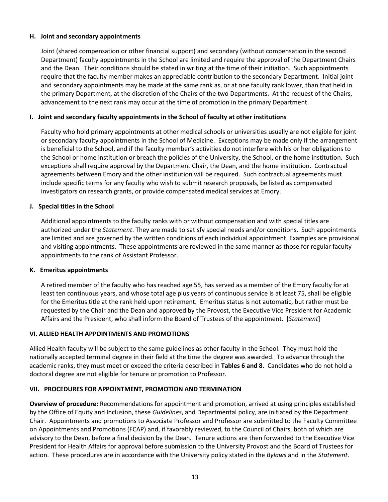## **H. Joint and secondary appointments**

Joint (shared compensation or other financial support) and secondary (without compensation in the second Department) faculty appointments in the School are limited and require the approval of the Department Chairs and the Dean. Their conditions should be stated in writing at the time of their initiation. Such appointments require that the faculty member makes an appreciable contribution to the secondary Department. Initial joint and secondary appointments may be made at the same rank as, or at one faculty rank lower, than that held in the primary Department, at the discretion of the Chairs of the two Departments. At the request of the Chairs, advancement to the next rank may occur at the time of promotion in the primary Department.

# **I. Joint and secondary faculty appointments in the School of faculty at other institutions**

Faculty who hold primary appointments at other medical schools or universities usually are not eligible for joint or secondary faculty appointments in the School of Medicine. Exceptions may be made only if the arrangement is beneficial to the School, and if the faculty member's activities do not interfere with his or her obligations to the School or home institution or breach the policies of the University, the School, or the home institution. Such exceptions shall require approval by the Department Chair, the Dean, and the home institution. Contractual agreements between Emory and the other institution will be required. Such contractual agreements must include specific terms for any faculty who wish to submit research proposals, be listed as compensated investigators on research grants, or provide compensated medical services at Emory.

## **J. Special titles in the School**

Additional appointments to the faculty ranks with or without compensation and with special titles are authorized under the *Statement*. They are made to satisfy special needs and/or conditions. Such appointments are limited and are governed by the written conditions of each individual appointment. Examples are provisional and visiting appointments. These appointments are reviewed in the same manner as those for regular faculty appointments to the rank of Assistant Professor.

## **K. Emeritus appointments**

A retired member of the faculty who has reached age 55, has served as a member of the Emory faculty for at least ten continuous years, and whose total age plus years of continuous service is at least 75, shall be eligible for the Emeritus title at the rank held upon retirement. Emeritus status is not automatic, but rather must be requested by the Chair and the Dean and approved by the Provost, the Executive Vice President for Academic Affairs and the President, who shall inform the Board of Trustees of the appointment. [*Statement*]

## **VI. ALLIED HEALTH APPOINTMENTS AND PROMOTIONS**

Allied Health faculty will be subject to the same guidelines as other faculty in the School. They must hold the nationally accepted terminal degree in their field at the time the degree was awarded. To advance through the academic ranks, they must meet or exceed the criteria described in **Tables 6 and 8**. Candidates who do not hold a doctoral degree are not eligible for tenure or promotion to Professor.

## **VII. PROCEDURES FOR APPOINTMENT, PROMOTION AND TERMINATION**

**Overview of procedure:** Recommendations for appointment and promotion, arrived at using principles established by the Office of Equity and Inclusion, these *Guidelines*, and Departmental policy, are initiated by the Department Chair. Appointments and promotions to Associate Professor and Professor are submitted to the Faculty Committee on Appointments and Promotions (FCAP) and, if favorably reviewed, to the Council of Chairs, both of which are advisory to the Dean, before a final decision by the Dean. Tenure actions are then forwarded to the Executive Vice President for Health Affairs for approval before submission to the University Provost and the Board of Trustees for action. These procedures are in accordance with the University policy stated in the *Bylaws* and in the *Statement*.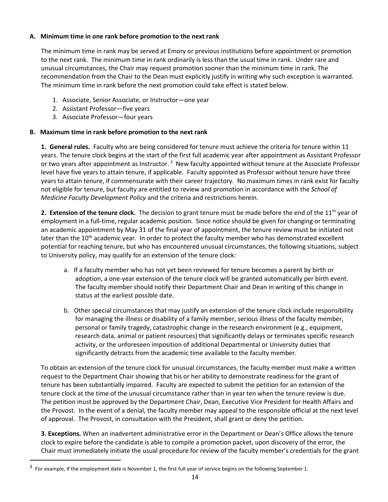# **A. Minimum time in one rank before promotion to the next rank**

The minimum time in rank may be served at Emory or previous institutions before appointment or promotion to the next rank. The minimum time in rank ordinarily is less than the usual time in rank. Under rare and unusual circumstances, the Chair may request promotion sooner than the minimum time in rank. The recommendation from the Chair to the Dean must explicitly justify in writing why such exception is warranted. The minimum time in rank before the next promotion could take effect is stated below.

- 1. Associate, Senior Associate, or Instructor—one year
- 2. Assistant Professor—five years
- 3. Associate Professor—four years

## **B. Maximum time in rank before promotion to the next rank**

**1. General rules.** Faculty who are being considered for tenure must achieve the criteria for tenure within 11 years. The tenure clock begins at the start of the first full academic year after appointment as Assistant Professor or two years after appointment as Instructor.<sup>[3](#page-13-0)</sup> New faculty appointed without tenure at the Associate Professor level have five years to attain tenure, if applicable. Faculty appointed as Professor without tenure have three years to attain tenure, if commensurate with their career trajectory. No maximum times in rank exist for faculty not eligible for tenure, but faculty are entitled to review and promotion in accordance with the *School of Medicine Faculty Development Policy* and the criteria and restrictions herein.

**2. Extension of the tenure clock.** The decision to grant tenure must be made before the end of the 11<sup>th</sup> year of employment in a full-time, regular academic position. Since notice should be given for changing or terminating an academic appointment by May 31 of the final year of appointment, the tenure review must be initiated not later than the 10<sup>th</sup> academic year. In order to protect the faculty member who has demonstrated excellent potential for reaching tenure, but who has encountered unusual circumstances, the following situations, subject to University policy, may qualify for an extension of the tenure clock:

- a. If a faculty member who has not yet been reviewed for tenure becomes a parent by birth or adoption, a one-year extension of the tenure clock will be granted automatically per birth event. The faculty member should notify their Department Chair and Dean in writing of this change in status at the earliest possible date.
- b. Other special circumstances that may justify an extension of the tenure clock include responsibility for managing the illness or disability of a family member, serious illness of the faculty member, personal or family tragedy, catastrophic change in the research environment (e.g., equipment, research data, animal or patient resources) that significantly delays or terminates specific research activity, or the unforeseen imposition of additional Departmental or University duties that significantly detracts from the academic time available to the faculty member.

To obtain an extension of the tenure clock for unusual circumstances, the faculty member must make a written request to the Department Chair showing that his or her ability to demonstrate readiness for the grant of tenure has been substantially impaired. Faculty are expected to submit the petition for an extension of the tenure clock at the time of the unusual circumstance rather than in year ten when the tenure review is due. The petition must be approved by the Department Chair, Dean, Executive Vice President for Health Affairs and the Provost. In the event of a denial, the faculty member may appeal to the responsible official at the next level of approval. The Provost, in consultation with the President, shall grant or deny the petition.

**3. Exceptions.** When an inadvertent administrative error in the Department or Dean's Office allows the tenure clock to expire before the candidate is able to compile a promotion packet, upon discovery of the error, the Chair must immediately initiate the usual procedure for review of the faculty member's credentials for the grant

<span id="page-13-0"></span> $3$  For example, if the employment date is November 1, the first full year of service begins on the following September 1.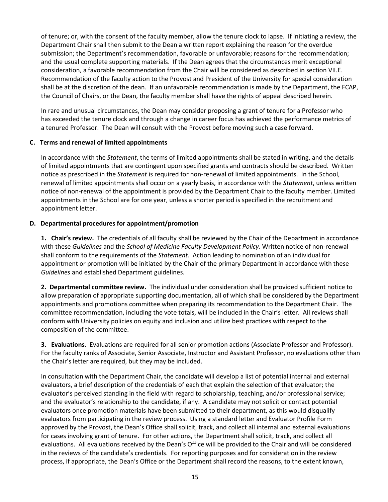of tenure; or, with the consent of the faculty member, allow the tenure clock to lapse. If initiating a review, the Department Chair shall then submit to the Dean a written report explaining the reason for the overdue submission; the Department's recommendation, favorable or unfavorable; reasons for the recommendation; and the usual complete supporting materials.If the Dean agrees that the circumstances merit exceptional consideration, a favorable recommendation from the Chair will be considered as described in section VII.E. Recommendation of the faculty action to the Provost and President of the University for special consideration shall be at the discretion of the dean. If an unfavorable recommendation is made by the Department, the FCAP, the Council of Chairs, or the Dean, the faculty member shall have the rights of appeal described herein.

In rare and unusual circumstances, the Dean may consider proposing a grant of tenure for a Professor who has exceeded the tenure clock and through a change in career focus has achieved the performance metrics of a tenured Professor. The Dean will consult with the Provost before moving such a case forward.

# **C. Terms and renewal of limited appointments**

In accordance with the *Statement*, the terms of limited appointments shall be stated in writing, and the details of limited appointments that are contingent upon specified grants and contracts should be described. Written notice as prescribed in the *Statement* is required for non-renewal of limited appointments. In the School, renewal of limited appointments shall occur on a yearly basis, in accordance with the *Statement*, unless written notice of non-renewal of the appointment is provided by the Department Chair to the faculty member. Limited appointments in the School are for one year, unless a shorter period is specified in the recruitment and appointment letter.

# **D. Departmental procedures for appointment/promotion**

**1. Chair's review.** The credentials of all faculty shall be reviewed by the Chair of the Department in accordance with these *Guidelines* and the *School of Medicine Faculty Development Policy*. Written notice of non-renewal shall conform to the requirements of the *Statement*. Action leading to nomination of an individual for appointment or promotion will be initiated by the Chair of the primary Department in accordance with these *Guidelines* and established Department guidelines.

**2. Departmental committee review.** The individual under consideration shall be provided sufficient notice to allow preparation of appropriate supporting documentation, all of which shall be considered by the Department appointments and promotions committee when preparing its recommendation to the Department Chair. The committee recommendation, including the vote totals, will be included in the Chair's letter. All reviews shall conform with University policies on equity and inclusion and utilize best practices with respect to the composition of the committee.

**3. Evaluations.** Evaluations are required for all senior promotion actions (Associate Professor and Professor). For the faculty ranks of Associate, Senior Associate, Instructor and Assistant Professor, no evaluations other than the Chair's letter are required, but they may be included.

In consultation with the Department Chair, the candidate will develop a list of potential internal and external evaluators, a brief description of the credentials of each that explain the selection of that evaluator; the evaluator's perceived standing in the field with regard to scholarship, teaching, and/or professional service; and the evaluator's relationship to the candidate, if any. A candidate may not solicit or contact potential evaluators once promotion materials have been submitted to their department, as this would disqualify evaluators from participating in the review process. Using a standard letter and Evaluator Profile Form approved by the Provost, the Dean's Office shall solicit, track, and collect all internal and external evaluations for cases involving grant of tenure. For other actions, the Department shall solicit, track, and collect all evaluations. All evaluations received by the Dean's Office will be provided to the Chair and will be considered in the reviews of the candidate's credentials. For reporting purposes and for consideration in the review process, if appropriate, the Dean's Office or the Department shall record the reasons, to the extent known,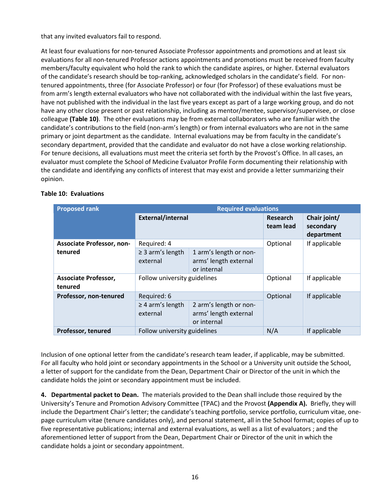that any invited evaluators fail to respond.

At least four evaluations for non-tenured Associate Professor appointments and promotions and at least six evaluations for all non-tenured Professor actions appointments and promotions must be received from faculty members/faculty equivalent who hold the rank to which the candidate aspires, or higher. External evaluators of the candidate's research should be top-ranking, acknowledged scholars in the candidate's field. For nontenured appointments, three (for Associate Professor) or four (for Professor) of these evaluations must be from arm's length external evaluators who have not collaborated with the individual within the last five years, have not published with the individual in the last five years except as part of a large working group, and do not have any other close present or past relationship, including as mentor/mentee, supervisor/supervisee, or close colleague **(Table 10)**. The other evaluations may be from external collaborators who are familiar with the candidate's contributions to the field (non-arm's length) or from internal evaluators who are not in the same primary or joint department as the candidate. Internal evaluations may be from faculty in the candidate's secondary department, provided that the candidate and evaluator do not have a close working relationship. For tenure decisions, all evaluations must meet the criteria set forth by the Provost's Office. In all cases, an evaluator must complete the School of Medicine Evaluator Profile Form documenting their relationship with the candidate and identifying any conflicts of interest that may exist and provide a letter summarizing their opinion.

| <b>Proposed rank</b>                   | <b>Required evaluations</b>       |                                                                |                       |                                         |
|----------------------------------------|-----------------------------------|----------------------------------------------------------------|-----------------------|-----------------------------------------|
|                                        | External/internal                 |                                                                | Research<br>team lead | Chair joint/<br>secondary<br>department |
| <b>Associate Professor, non-</b>       | Required: 4                       |                                                                | Optional              | If applicable                           |
| tenured                                | $\geq$ 3 arm's length<br>external | 1 arm's length or non-<br>arms' length external<br>or internal |                       |                                         |
| <b>Associate Professor,</b><br>tenured | Follow university guidelines      |                                                                | Optional              | If applicable                           |
| Professor, non-tenured                 | Required: 6                       |                                                                | Optional              | If applicable                           |
|                                        | $\geq$ 4 arm's length<br>external | 2 arm's length or non-<br>arms' length external<br>or internal |                       |                                         |
| Professor, tenured                     | Follow university guidelines      |                                                                | N/A                   | If applicable                           |

# **Table 10: Evaluations**

Inclusion of one optional letter from the candidate's research team leader, if applicable, may be submitted. For all faculty who hold joint or secondary appointments in the School or a University unit outside the School, a letter of support for the candidate from the Dean, Department Chair or Director of the unit in which the candidate holds the joint or secondary appointment must be included.

**4. Departmental packet to Dean.** The materials provided to the Dean shall include those required by the University's Tenure and Promotion Advisory Committee (TPAC) and the Provost **(Appendix A).** Briefly, they will include the Department Chair's letter; the candidate's teaching portfolio, service portfolio, curriculum vitae, onepage curriculum vitae (tenure candidates only), and personal statement, all in the School format; copies of up to five representative publications; internal and external evaluations, as well as a list of evaluators ; and the aforementioned letter of support from the Dean, Department Chair or Director of the unit in which the candidate holds a joint or secondary appointment.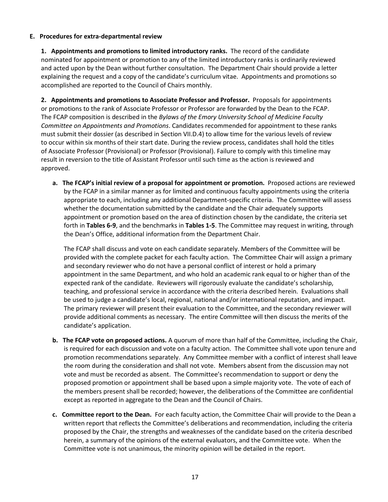## **E. Procedures for extra-departmental review**

**1. Appointments and promotions to limited introductory ranks.** The record of the candidate nominated for appointment or promotion to any of the limited introductory ranks is ordinarily reviewed and acted upon by the Dean without further consultation. The Department Chair should provide a letter explaining the request and a copy of the candidate's curriculum vitae. Appointments and promotions so accomplished are reported to the Council of Chairs monthly.

**2. Appointments and promotions to Associate Professor and Professor.** Proposals for appointments or promotions to the rank of Associate Professor or Professor are forwarded by the Dean to the FCAP. The FCAP composition is described in the *Bylaws of the Emory University School of Medicine Faculty Committee on Appointments and Promotions*. Candidates recommended for appointment to these ranks must submit their dossier (as described in Section VII.D.4) to allow time for the various levels of review to occur within six months of their start date. During the review process, candidates shall hold the titles of Associate Professor (Provisional) or Professor (Provisional). Failure to comply with this timeline may result in reversion to the title of Assistant Professor until such time as the action is reviewed and approved.

**a. The FCAP's initial review of a proposal for appointment or promotion.** Proposed actions are reviewed by the FCAP in a similar manner as for limited and continuous faculty appointments using the criteria appropriate to each, including any additional Department-specific criteria. The Committee will assess whether the documentation submitted by the candidate and the Chair adequately supports appointment or promotion based on the area of distinction chosen by the candidate, the criteria set forth in **Tables 6-9**, and the benchmarks in **Tables 1-5**. The Committee may request in writing, through the Dean's Office, additional information from the Department Chair.

The FCAP shall discuss and vote on each candidate separately. Members of the Committee will be provided with the complete packet for each faculty action. The Committee Chair will assign a primary and secondary reviewer who do not have a personal conflict of interest or hold a primary appointment in the same Department, and who hold an academic rank equal to or higher than of the expected rank of the candidate. Reviewers will rigorously evaluate the candidate's scholarship, teaching, and professional service in accordance with the criteria described herein. Evaluations shall be used to judge a candidate's local, regional, national and/or international reputation, and impact. The primary reviewer will present their evaluation to the Committee, and the secondary reviewer will provide additional comments as necessary. The entire Committee will then discuss the merits of the candidate's application.

- **b. The FCAP vote on proposed actions.** A quorum of more than half of the Committee, including the Chair, is required for each discussion and vote on a faculty action. The Committee shall vote upon tenure and promotion recommendations separately. Any Committee member with a conflict of interest shall leave the room during the consideration and shall not vote. Members absent from the discussion may not vote and must be recorded as absent. The Committee's recommendation to support or deny the proposed promotion or appointment shall be based upon a simple majority vote. The vote of each of the members present shall be recorded; however, the deliberations of the Committee are confidential except as reported in aggregate to the Dean and the Council of Chairs.
- **c. Committee report to the Dean.** For each faculty action, the Committee Chair will provide to the Dean a written report that reflects the Committee's deliberations and recommendation, including the criteria proposed by the Chair, the strengths and weaknesses of the candidate based on the criteria described herein, a summary of the opinions of the external evaluators, and the Committee vote. When the Committee vote is not unanimous, the minority opinion will be detailed in the report.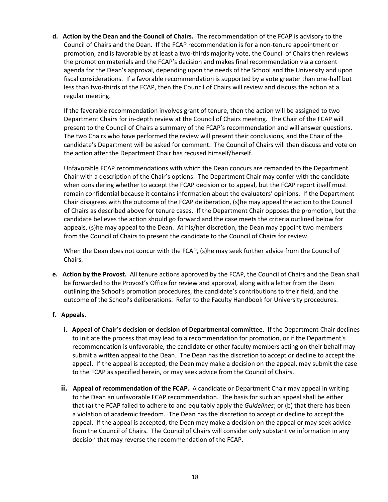**d. Action by the Dean and the Council of Chairs.** The recommendation of the FCAP is advisory to the Council of Chairs and the Dean. If the FCAP recommendation is for a non-tenure appointment or promotion, and is favorable by at least a two-thirds majority vote, the Council of Chairs then reviews the promotion materials and the FCAP's decision and makes final recommendation via a consent agenda for the Dean's approval, depending upon the needs of the School and the University and upon fiscal considerations. If a favorable recommendation is supported by a vote greater than one-half but less than two-thirds of the FCAP, then the Council of Chairs will review and discuss the action at a regular meeting.

If the favorable recommendation involves grant of tenure, then the action will be assigned to two Department Chairs for in-depth review at the Council of Chairs meeting. The Chair of the FCAP will present to the Council of Chairs a summary of the FCAP's recommendation and will answer questions. The two Chairs who have performed the review will present their conclusions, and the Chair of the candidate's Department will be asked for comment. The Council of Chairs will then discuss and vote on the action after the Department Chair has recused himself/herself.

Unfavorable FCAP recommendations with which the Dean concurs are remanded to the Department Chair with a description of the Chair's options. The Department Chair may confer with the candidate when considering whether to accept the FCAP decision or to appeal, but the FCAP report itself must remain confidential because it contains information about the evaluators' opinions. If the Department Chair disagrees with the outcome of the FCAP deliberation, (s)he may appeal the action to the Council of Chairs as described above for tenure cases. If the Department Chair opposes the promotion, but the candidate believes the action should go forward and the case meets the criteria outlined below for appeals, (s)he may appeal to the Dean. At his/her discretion, the Dean may appoint two members from the Council of Chairs to present the candidate to the Council of Chairs for review.

When the Dean does not concur with the FCAP, (s)he may seek further advice from the Council of Chairs.

**e. Action by the Provost.** All tenure actions approved by the FCAP, the Council of Chairs and the Dean shall be forwarded to the Provost's Office for review and approval, along with a letter from the Dean outlining the School's promotion procedures, the candidate's contributions to their field, and the outcome of the School's deliberations. Refer to the Faculty Handbook for University procedures.

## **f. Appeals.**

- **i. Appeal of Chair's decision or decision of Departmental committee.** If the Department Chair declines to initiate the process that may lead to a recommendation for promotion, or if the Department's recommendation is unfavorable, the candidate or other faculty members acting on their behalf may submit a written appeal to the Dean. The Dean has the discretion to accept or decline to accept the appeal. If the appeal is accepted, the Dean may make a decision on the appeal, may submit the case to the FCAP as specified herein, or may seek advice from the Council of Chairs.
- **ii. Appeal of recommendation of the FCAP.** A candidate or Department Chair may appeal in writing to the Dean an unfavorable FCAP recommendation. The basis for such an appeal shall be either that (a) the FCAP failed to adhere to and equitably apply the *Guidelines*; or (b) that there has been a violation of academic freedom. The Dean has the discretion to accept or decline to accept the appeal. If the appeal is accepted, the Dean may make a decision on the appeal or may seek advice from the Council of Chairs. The Council of Chairs will consider only substantive information in any decision that may reverse the recommendation of the FCAP.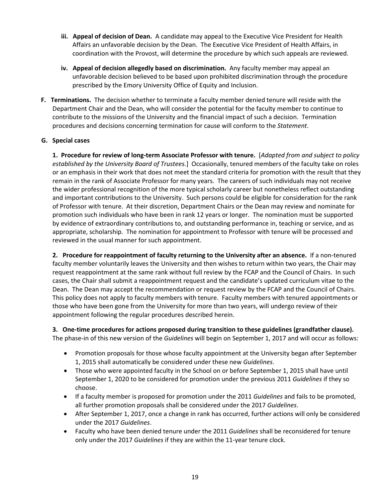- **iii. Appeal of decision of Dean.** A candidate may appeal to the Executive Vice President for Health Affairs an unfavorable decision by the Dean. The Executive Vice President of Health Affairs, in coordination with the Provost, will determine the procedure by which such appeals are reviewed.
- **iv. Appeal of decision allegedly based on discrimination.** Any faculty member may appeal an unfavorable decision believed to be based upon prohibited discrimination through the procedure prescribed by the Emory University Office of Equity and Inclusion.
- **F. Terminations.** The decision whether to terminate a faculty member denied tenure will reside with the Department Chair and the Dean, who will consider the potential for the faculty member to continue to contribute to the missions of the University and the financial impact of such a decision. Termination procedures and decisions concerning termination for cause will conform to the *Statement*.

# **G. Special cases**

**1. Procedure for review of long-term Associate Professor with tenure.** [*Adapted from and subject to policy established by the University Board of Trustees.*] Occasionally, tenured members of the faculty take on roles or an emphasis in their work that does not meet the standard criteria for promotion with the result that they remain in the rank of Associate Professor for many years. The careers of such individuals may not receive the wider professional recognition of the more typical scholarly career but nonetheless reflect outstanding and important contributions to the University. Such persons could be eligible for consideration for the rank of Professor with tenure. At their discretion, Department Chairs or the Dean may review and nominate for promotion such individuals who have been in rank 12 years or longer. The nomination must be supported by evidence of extraordinary contributions to, and outstanding performance in, teaching or service, and as appropriate, scholarship. The nomination for appointment to Professor with tenure will be processed and reviewed in the usual manner for such appointment.

**2. Procedure for reappointment of faculty returning to the University after an absence.** If a non-tenured faculty member voluntarily leaves the University and then wishes to return within two years, the Chair may request reappointment at the same rank without full review by the FCAP and the Council of Chairs. In such cases, the Chair shall submit a reappointment request and the candidate's updated curriculum vitae to the Dean. The Dean may accept the recommendation or request review by the FCAP and the Council of Chairs. This policy does not apply to faculty members with tenure. Faculty members with tenured appointments or those who have been gone from the University for more than two years, will undergo review of their appointment following the regular procedures described herein.

**3. One-time procedures for actions proposed during transition to these guidelines (grandfather clause).** The phase-in of this new version of the *Guidelines* will begin on September 1, 2017 and will occur as follows:

- Promotion proposals for those whose faculty appointment at the University began after September 1, 2015 shall automatically be considered under these new *Guidelines*.
- Those who were appointed faculty in the School on or before September 1, 2015 shall have until September 1, 2020 to be considered for promotion under the previous 2011 *Guidelines* if they so choose.
- If a faculty member is proposed for promotion under the 2011 *Guidelines* and fails to be promoted, all further promotion proposals shall be considered under the 2017 *Guidelines*.
- After September 1, 2017, once a change in rank has occurred, further actions will only be considered under the 2017 *Guidelines*.
- Faculty who have been denied tenure under the 2011 *Guidelines* shall be reconsidered for tenure only under the 2017 *Guidelines* if they are within the 11-year tenure clock.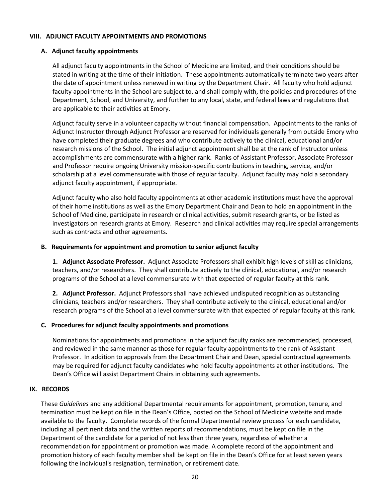#### **VIII. ADJUNCT FACULTY APPOINTMENTS AND PROMOTIONS**

#### **A. Adjunct faculty appointments**

All adjunct faculty appointments in the School of Medicine are limited, and their conditions should be stated in writing at the time of their initiation. These appointments automatically terminate two years after the date of appointment unless renewed in writing by the Department Chair. All faculty who hold adjunct faculty appointments in the School are subject to, and shall comply with, the policies and procedures of the Department, School, and University, and further to any local, state, and federal laws and regulations that are applicable to their activities at Emory.

Adjunct faculty serve in a volunteer capacity without financial compensation. Appointments to the ranks of Adjunct Instructor through Adjunct Professor are reserved for individuals generally from outside Emory who have completed their graduate degrees and who contribute actively to the clinical, educational and/or research missions of the School. The initial adjunct appointment shall be at the rank of Instructor unless accomplishments are commensurate with a higher rank. Ranks of Assistant Professor, Associate Professor and Professor require ongoing University mission-specific contributions in teaching, service, and/or scholarship at a level commensurate with those of regular faculty. Adjunct faculty may hold a secondary adjunct faculty appointment, if appropriate.

Adjunct faculty who also hold faculty appointments at other academic institutions must have the approval of their home institutions as well as the Emory Department Chair and Dean to hold an appointment in the School of Medicine, participate in research or clinical activities, submit research grants, or be listed as investigators on research grants at Emory. Research and clinical activities may require special arrangements such as contracts and other agreements.

#### **B. Requirements for appointment and promotion to senior adjunct faculty**

**1. Adjunct Associate Professor.** Adjunct Associate Professors shall exhibit high levels of skill as clinicians, teachers, and/or researchers. They shall contribute actively to the clinical, educational, and/or research programs of the School at a level commensurate with that expected of regular faculty at this rank.

**2. Adjunct Professor.** Adjunct Professors shall have achieved undisputed recognition as outstanding clinicians, teachers and/or researchers. They shall contribute actively to the clinical, educational and/or research programs of the School at a level commensurate with that expected of regular faculty at this rank.

## **C. Procedures for adjunct faculty appointments and promotions**

Nominations for appointments and promotions in the adjunct faculty ranks are recommended, processed, and reviewed in the same manner as those for regular faculty appointments to the rank of Assistant Professor. In addition to approvals from the Department Chair and Dean, special contractual agreements may be required for adjunct faculty candidates who hold faculty appointments at other institutions. The Dean's Office will assist Department Chairs in obtaining such agreements.

#### **IX. RECORDS**

These *Guidelines* and any additional Departmental requirements for appointment, promotion, tenure, and termination must be kept on file in the Dean's Office, posted on the School of Medicine website and made available to the faculty. Complete records of the formal Departmental review process for each candidate, including all pertinent data and the written reports of recommendations, must be kept on file in the Department of the candidate for a period of not less than three years, regardless of whether a recommendation for appointment or promotion was made. A complete record of the appointment and promotion history of each faculty member shall be kept on file in the Dean's Office for at least seven years following the individual's resignation, termination, or retirement date.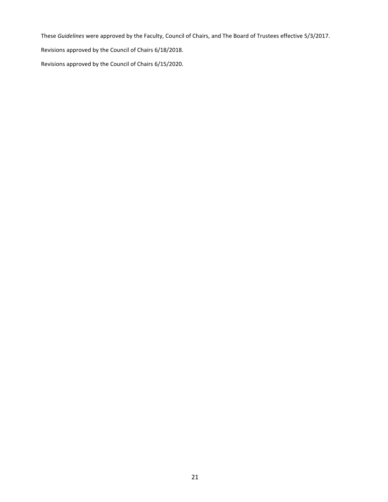These *Guidelines* were approved by the Faculty, Council of Chairs, and The Board of Trustees effective 5/3/2017.

Revisions approved by the Council of Chairs 6/18/2018.

Revisions approved by the Council of Chairs 6/15/2020.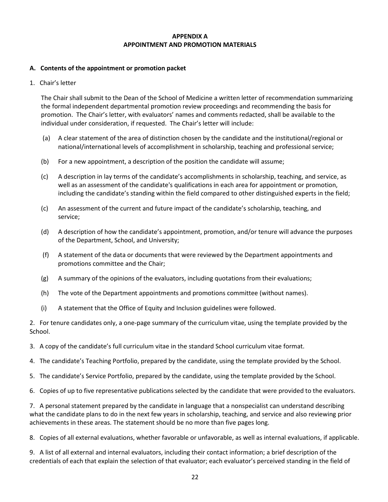## **APPENDIX A APPOINTMENT AND PROMOTION MATERIALS**

# **A. Contents of the appointment or promotion packet**

1. Chair's letter

The Chair shall submit to the Dean of the School of Medicine a written letter of recommendation summarizing the formal independent departmental promotion review proceedings and recommending the basis for promotion. The Chair's letter, with evaluators' names and comments redacted, shall be available to the individual under consideration, if requested. The Chair's letter will include:

- (a) A clear statement of the area of distinction chosen by the candidate and the institutional/regional or national/international levels of accomplishment in scholarship, teaching and professional service;
- (b) For a new appointment, a description of the position the candidate will assume;
- (c) A description in lay terms of the candidate's accomplishments in scholarship, teaching, and service, as well as an assessment of the candidate's qualifications in each area for appointment or promotion, including the candidate's standing within the field compared to other distinguished experts in the field;
- (c) An assessment of the current and future impact of the candidate's scholarship, teaching, and service;
- (d) A description of how the candidate's appointment, promotion, and/or tenure will advance the purposes of the Department, School, and University;
- (f) A statement of the data or documents that were reviewed by the Department appointments and promotions committee and the Chair;
- (g) A summary of the opinions of the evaluators, including quotations from their evaluations;
- (h) The vote of the Department appointments and promotions committee (without names).
- (i) A statement that the Office of Equity and Inclusion guidelines were followed.

2. For tenure candidates only, a one-page summary of the curriculum vitae, using the template provided by the School.

- 3. A copy of the candidate's full curriculum vitae in the standard School curriculum vitae format.
- 4. The candidate's Teaching Portfolio, prepared by the candidate, using the template provided by the School.
- 5. The candidate's Service Portfolio, prepared by the candidate, using the template provided by the School.
- 6. Copies of up to five representative publications selected by the candidate that were provided to the evaluators.

7. A personal statement prepared by the candidate in language that a nonspecialist can understand describing what the candidate plans to do in the next few years in scholarship, teaching, and service and also reviewing prior achievements in these areas. The statement should be no more than five pages long.

8. Copies of all external evaluations, whether favorable or unfavorable, as well as internal evaluations, if applicable.

9. A list of all external and internal evaluators, including their contact information; a brief description of the credentials of each that explain the selection of that evaluator; each evaluator's perceived standing in the field of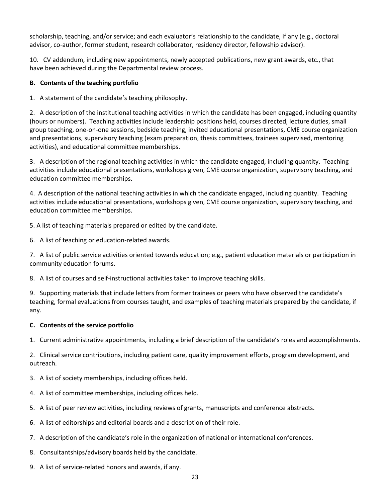scholarship, teaching, and/or service; and each evaluator's relationship to the candidate, if any (e.g., doctoral advisor, co-author, former student, research collaborator, residency director, fellowship advisor).

10. CV addendum, including new appointments, newly accepted publications, new grant awards, etc., that have been achieved during the Departmental review process.

# **B. Contents of the teaching portfolio**

1. A statement of the candidate's teaching philosophy.

2. A description of the institutional teaching activities in which the candidate has been engaged, including quantity (hours or numbers). Teaching activities include leadership positions held, courses directed, lecture duties, small group teaching, one-on-one sessions, bedside teaching, invited educational presentations, CME course organization and presentations, supervisory teaching (exam preparation, thesis committees, trainees supervised, mentoring activities), and educational committee memberships.

3. A description of the regional teaching activities in which the candidate engaged, including quantity. Teaching activities include educational presentations, workshops given, CME course organization, supervisory teaching, and education committee memberships.

4. A description of the national teaching activities in which the candidate engaged, including quantity. Teaching activities include educational presentations, workshops given, CME course organization, supervisory teaching, and education committee memberships.

5. A list of teaching materials prepared or edited by the candidate.

6. A list of teaching or education-related awards.

7. A list of public service activities oriented towards education; e.g., patient education materials or participation in community education forums.

8. A list of courses and self-instructional activities taken to improve teaching skills.

9. Supporting materials that include letters from former trainees or peers who have observed the candidate's teaching, formal evaluations from courses taught, and examples of teaching materials prepared by the candidate, if any.

# **C. Contents of the service portfolio**

1. Current administrative appointments, including a brief description of the candidate's roles and accomplishments.

2. Clinical service contributions, including patient care, quality improvement efforts, program development, and outreach.

- 3. A list of society memberships, including offices held.
- 4. A list of committee memberships, including offices held.
- 5. A list of peer review activities, including reviews of grants, manuscripts and conference abstracts.
- 6. A list of editorships and editorial boards and a description of their role.
- 7. A description of the candidate's role in the organization of national or international conferences.
- 8. Consultantships/advisory boards held by the candidate.
- 9. A list of service-related honors and awards, if any.